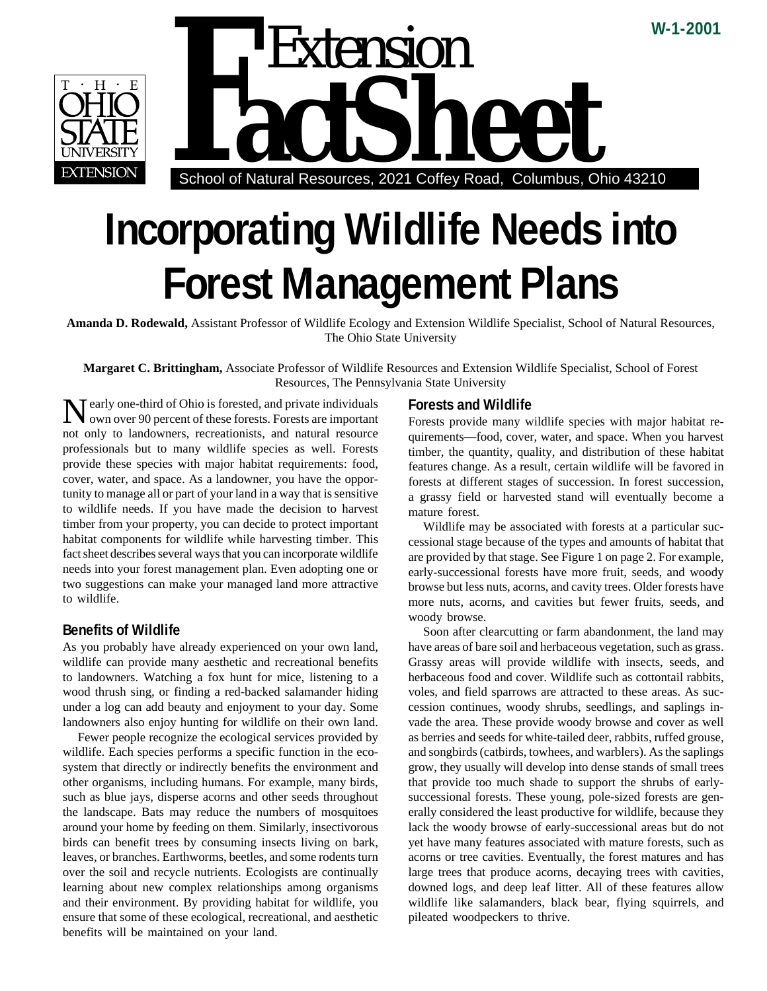

 School of Natural Resources, 2021 Coffey Road, Columbus, Ohio 43210 Extension<br> **FactSheet**<br>
School of Natural Resources, 2021 Coffey Road, Columbus, O

# **Incorporating Wildlife Needs into Forest Management Plans**

**Amanda D. Rodewald,** Assistant Professor of Wildlife Ecology and Extension Wildlife Specialist, School of Natural Resources, The Ohio State University

**Margaret C. Brittingham,** Associate Professor of Wildlife Resources and Extension Wildlife Specialist, School of Forest Resources, The Pennsylvania State University

Nearly one-third of Ohio is forested, and private individuals<br>Nown over 90 percent of these formula own over 90 percent of these forests. Forests are important not only to landowners, recreationists, and natural resource professionals but to many wildlife species as well. Forests provide these species with major habitat requirements: food, cover, water, and space. As a landowner, you have the opportunity to manage all or part of your land in a way that is sensitive to wildlife needs. If you have made the decision to harvest timber from your property, you can decide to protect important habitat components for wildlife while harvesting timber. This fact sheet describes several ways that you can incorporate wildlife needs into your forest management plan. Even adopting one or two suggestions can make your managed land more attractive to wildlife.

# **Benefits of Wildlife**

As you probably have already experienced on your own land, wildlife can provide many aesthetic and recreational benefits to landowners. Watching a fox hunt for mice, listening to a wood thrush sing, or finding a red-backed salamander hiding under a log can add beauty and enjoyment to your day. Some landowners also enjoy hunting for wildlife on their own land.

Fewer people recognize the ecological services provided by wildlife. Each species performs a specific function in the ecosystem that directly or indirectly benefits the environment and other organisms, including humans. For example, many birds, such as blue jays, disperse acorns and other seeds throughout the landscape. Bats may reduce the numbers of mosquitoes around your home by feeding on them. Similarly, insectivorous birds can benefit trees by consuming insects living on bark, leaves, or branches. Earthworms, beetles, and some rodents turn over the soil and recycle nutrients. Ecologists are continually learning about new complex relationships among organisms and their environment. By providing habitat for wildlife, you ensure that some of these ecological, recreational, and aesthetic benefits will be maintained on your land.

## **Forests and Wildlife**

Forests provide many wildlife species with major habitat requirements—food, cover, water, and space. When you harvest timber, the quantity, quality, and distribution of these habitat features change. As a result, certain wildlife will be favored in forests at different stages of succession. In forest succession, a grassy field or harvested stand will eventually become a mature forest.

**W-1-2001**

Wildlife may be associated with forests at a particular successional stage because of the types and amounts of habitat that are provided by that stage. See Figure 1 on page 2. For example, early-successional forests have more fruit, seeds, and woody browse but less nuts, acorns, and cavity trees. Older forests have more nuts, acorns, and cavities but fewer fruits, seeds, and woody browse.

Soon after clearcutting or farm abandonment, the land may have areas of bare soil and herbaceous vegetation, such as grass. Grassy areas will provide wildlife with insects, seeds, and herbaceous food and cover. Wildlife such as cottontail rabbits, voles, and field sparrows are attracted to these areas. As succession continues, woody shrubs, seedlings, and saplings invade the area. These provide woody browse and cover as well as berries and seeds for white-tailed deer, rabbits, ruffed grouse, and songbirds (catbirds, towhees, and warblers). As the saplings grow, they usually will develop into dense stands of small trees that provide too much shade to support the shrubs of earlysuccessional forests. These young, pole-sized forests are generally considered the least productive for wildlife, because they lack the woody browse of early-successional areas but do not yet have many features associated with mature forests, such as acorns or tree cavities. Eventually, the forest matures and has large trees that produce acorns, decaying trees with cavities, downed logs, and deep leaf litter. All of these features allow wildlife like salamanders, black bear, flying squirrels, and pileated woodpeckers to thrive.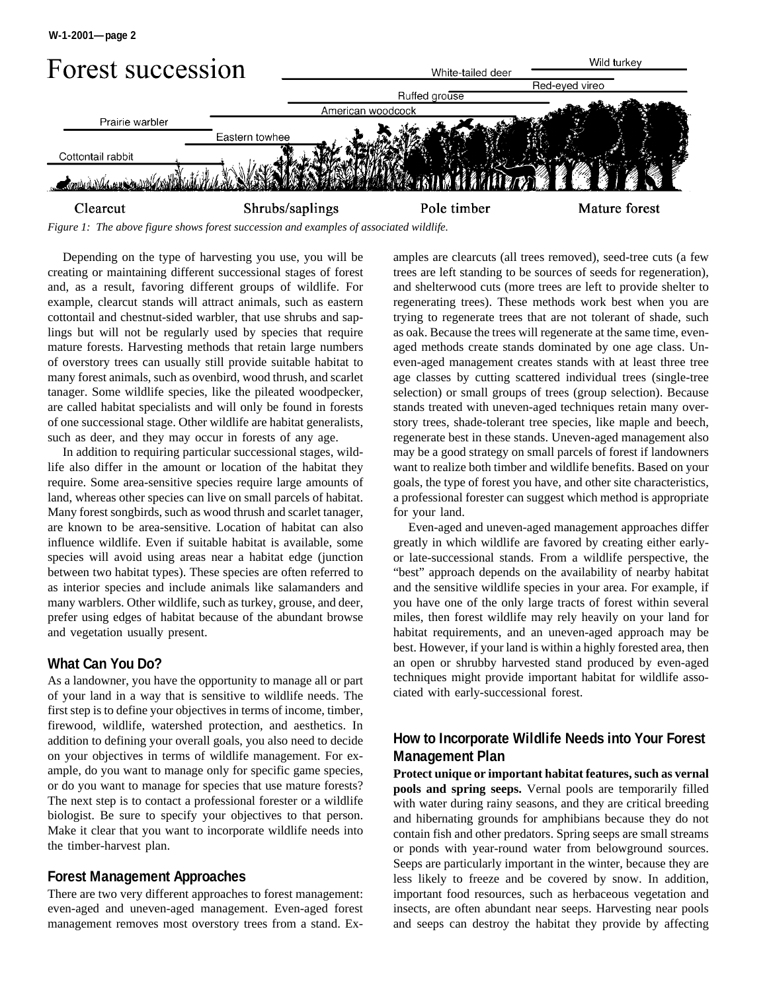

*Figure 1: The above figure shows forest succession and examples of associated wildlife.*

Depending on the type of harvesting you use, you will be creating or maintaining different successional stages of forest and, as a result, favoring different groups of wildlife. For example, clearcut stands will attract animals, such as eastern cottontail and chestnut-sided warbler, that use shrubs and saplings but will not be regularly used by species that require mature forests. Harvesting methods that retain large numbers of overstory trees can usually still provide suitable habitat to many forest animals, such as ovenbird, wood thrush, and scarlet tanager. Some wildlife species, like the pileated woodpecker, are called habitat specialists and will only be found in forests of one successional stage. Other wildlife are habitat generalists, such as deer, and they may occur in forests of any age.

In addition to requiring particular successional stages, wildlife also differ in the amount or location of the habitat they require. Some area-sensitive species require large amounts of land, whereas other species can live on small parcels of habitat. Many forest songbirds, such as wood thrush and scarlet tanager, are known to be area-sensitive. Location of habitat can also influence wildlife. Even if suitable habitat is available, some species will avoid using areas near a habitat edge (junction between two habitat types). These species are often referred to as interior species and include animals like salamanders and many warblers. Other wildlife, such as turkey, grouse, and deer, prefer using edges of habitat because of the abundant browse and vegetation usually present.

### **What Can You Do?**

As a landowner, you have the opportunity to manage all or part of your land in a way that is sensitive to wildlife needs. The first step is to define your objectives in terms of income, timber, firewood, wildlife, watershed protection, and aesthetics. In addition to defining your overall goals, you also need to decide on your objectives in terms of wildlife management. For example, do you want to manage only for specific game species, or do you want to manage for species that use mature forests? The next step is to contact a professional forester or a wildlife biologist. Be sure to specify your objectives to that person. Make it clear that you want to incorporate wildlife needs into the timber-harvest plan.

## **Forest Management Approaches**

There are two very different approaches to forest management: even-aged and uneven-aged management. Even-aged forest management removes most overstory trees from a stand. Examples are clearcuts (all trees removed), seed-tree cuts (a few trees are left standing to be sources of seeds for regeneration), and shelterwood cuts (more trees are left to provide shelter to regenerating trees). These methods work best when you are trying to regenerate trees that are not tolerant of shade, such as oak. Because the trees will regenerate at the same time, evenaged methods create stands dominated by one age class. Uneven-aged management creates stands with at least three tree age classes by cutting scattered individual trees (single-tree selection) or small groups of trees (group selection). Because stands treated with uneven-aged techniques retain many overstory trees, shade-tolerant tree species, like maple and beech, regenerate best in these stands. Uneven-aged management also may be a good strategy on small parcels of forest if landowners want to realize both timber and wildlife benefits. Based on your goals, the type of forest you have, and other site characteristics, a professional forester can suggest which method is appropriate for your land.

Even-aged and uneven-aged management approaches differ greatly in which wildlife are favored by creating either earlyor late-successional stands. From a wildlife perspective, the "best" approach depends on the availability of nearby habitat and the sensitive wildlife species in your area. For example, if you have one of the only large tracts of forest within several miles, then forest wildlife may rely heavily on your land for habitat requirements, and an uneven-aged approach may be best. However, if your land is within a highly forested area, then an open or shrubby harvested stand produced by even-aged techniques might provide important habitat for wildlife associated with early-successional forest.

# **How to Incorporate Wildlife Needs into Your Forest Management Plan**

**Protect unique or important habitat features, such as vernal pools and spring seeps.** Vernal pools are temporarily filled with water during rainy seasons, and they are critical breeding and hibernating grounds for amphibians because they do not contain fish and other predators. Spring seeps are small streams or ponds with year-round water from belowground sources. Seeps are particularly important in the winter, because they are less likely to freeze and be covered by snow. In addition, important food resources, such as herbaceous vegetation and insects, are often abundant near seeps. Harvesting near pools and seeps can destroy the habitat they provide by affecting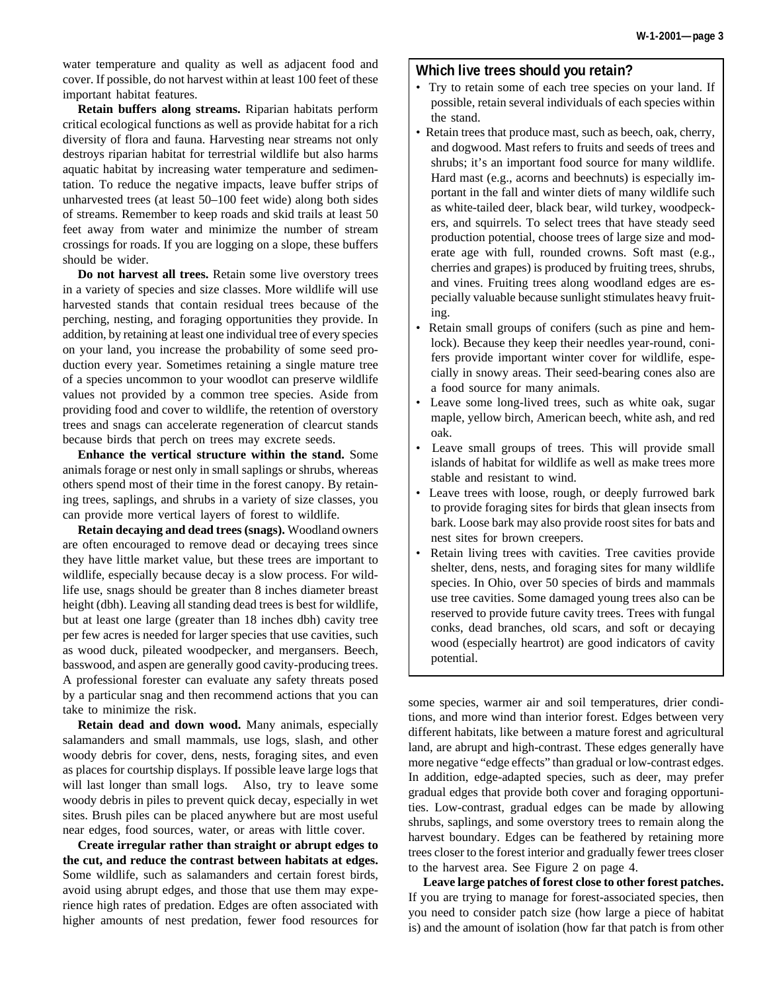water temperature and quality as well as adjacent food and cover. If possible, do not harvest within at least 100 feet of these important habitat features.

**Retain buffers along streams.** Riparian habitats perform critical ecological functions as well as provide habitat for a rich diversity of flora and fauna. Harvesting near streams not only destroys riparian habitat for terrestrial wildlife but also harms aquatic habitat by increasing water temperature and sedimentation. To reduce the negative impacts, leave buffer strips of unharvested trees (at least 50–100 feet wide) along both sides of streams. Remember to keep roads and skid trails at least 50 feet away from water and minimize the number of stream crossings for roads. If you are logging on a slope, these buffers should be wider.

**Do not harvest all trees.** Retain some live overstory trees in a variety of species and size classes. More wildlife will use harvested stands that contain residual trees because of the perching, nesting, and foraging opportunities they provide. In addition, by retaining at least one individual tree of every species on your land, you increase the probability of some seed production every year. Sometimes retaining a single mature tree of a species uncommon to your woodlot can preserve wildlife values not provided by a common tree species. Aside from providing food and cover to wildlife, the retention of overstory trees and snags can accelerate regeneration of clearcut stands because birds that perch on trees may excrete seeds.

**Enhance the vertical structure within the stand.** Some animals forage or nest only in small saplings or shrubs, whereas others spend most of their time in the forest canopy. By retaining trees, saplings, and shrubs in a variety of size classes, you can provide more vertical layers of forest to wildlife.

**Retain decaying and dead trees (snags).** Woodland owners are often encouraged to remove dead or decaying trees since they have little market value, but these trees are important to wildlife, especially because decay is a slow process. For wildlife use, snags should be greater than 8 inches diameter breast height (dbh). Leaving all standing dead trees is best for wildlife, but at least one large (greater than 18 inches dbh) cavity tree per few acres is needed for larger species that use cavities, such as wood duck, pileated woodpecker, and mergansers. Beech, basswood, and aspen are generally good cavity-producing trees. A professional forester can evaluate any safety threats posed by a particular snag and then recommend actions that you can take to minimize the risk.

**Retain dead and down wood.** Many animals, especially salamanders and small mammals, use logs, slash, and other woody debris for cover, dens, nests, foraging sites, and even as places for courtship displays. If possible leave large logs that will last longer than small logs. Also, try to leave some woody debris in piles to prevent quick decay, especially in wet sites. Brush piles can be placed anywhere but are most useful near edges, food sources, water, or areas with little cover.

**Create irregular rather than straight or abrupt edges to the cut, and reduce the contrast between habitats at edges.** Some wildlife, such as salamanders and certain forest birds, avoid using abrupt edges, and those that use them may experience high rates of predation. Edges are often associated with higher amounts of nest predation, fewer food resources for

### **Which live trees should you retain?**

- Try to retain some of each tree species on your land. If possible, retain several individuals of each species within the stand.
- Retain trees that produce mast, such as beech, oak, cherry, and dogwood. Mast refers to fruits and seeds of trees and shrubs; it's an important food source for many wildlife. Hard mast (e.g., acorns and beechnuts) is especially important in the fall and winter diets of many wildlife such as white-tailed deer, black bear, wild turkey, woodpeckers, and squirrels. To select trees that have steady seed production potential, choose trees of large size and moderate age with full, rounded crowns. Soft mast (e.g., cherries and grapes) is produced by fruiting trees, shrubs, and vines. Fruiting trees along woodland edges are especially valuable because sunlight stimulates heavy fruiting.
- Retain small groups of conifers (such as pine and hemlock). Because they keep their needles year-round, conifers provide important winter cover for wildlife, especially in snowy areas. Their seed-bearing cones also are a food source for many animals.
- Leave some long-lived trees, such as white oak, sugar maple, yellow birch, American beech, white ash, and red oak.
- Leave small groups of trees. This will provide small islands of habitat for wildlife as well as make trees more stable and resistant to wind.
- Leave trees with loose, rough, or deeply furrowed bark to provide foraging sites for birds that glean insects from bark. Loose bark may also provide roost sites for bats and nest sites for brown creepers.
- Retain living trees with cavities. Tree cavities provide shelter, dens, nests, and foraging sites for many wildlife species. In Ohio, over 50 species of birds and mammals use tree cavities. Some damaged young trees also can be reserved to provide future cavity trees. Trees with fungal conks, dead branches, old scars, and soft or decaying wood (especially heartrot) are good indicators of cavity potential.

some species, warmer air and soil temperatures, drier conditions, and more wind than interior forest. Edges between very different habitats, like between a mature forest and agricultural land, are abrupt and high-contrast. These edges generally have more negative "edge effects" than gradual or low-contrast edges. In addition, edge-adapted species, such as deer, may prefer gradual edges that provide both cover and foraging opportunities. Low-contrast, gradual edges can be made by allowing shrubs, saplings, and some overstory trees to remain along the harvest boundary. Edges can be feathered by retaining more trees closer to the forest interior and gradually fewer trees closer to the harvest area. See Figure 2 on page 4.

**Leave large patches of forest close to other forest patches.** If you are trying to manage for forest-associated species, then you need to consider patch size (how large a piece of habitat is) and the amount of isolation (how far that patch is from other